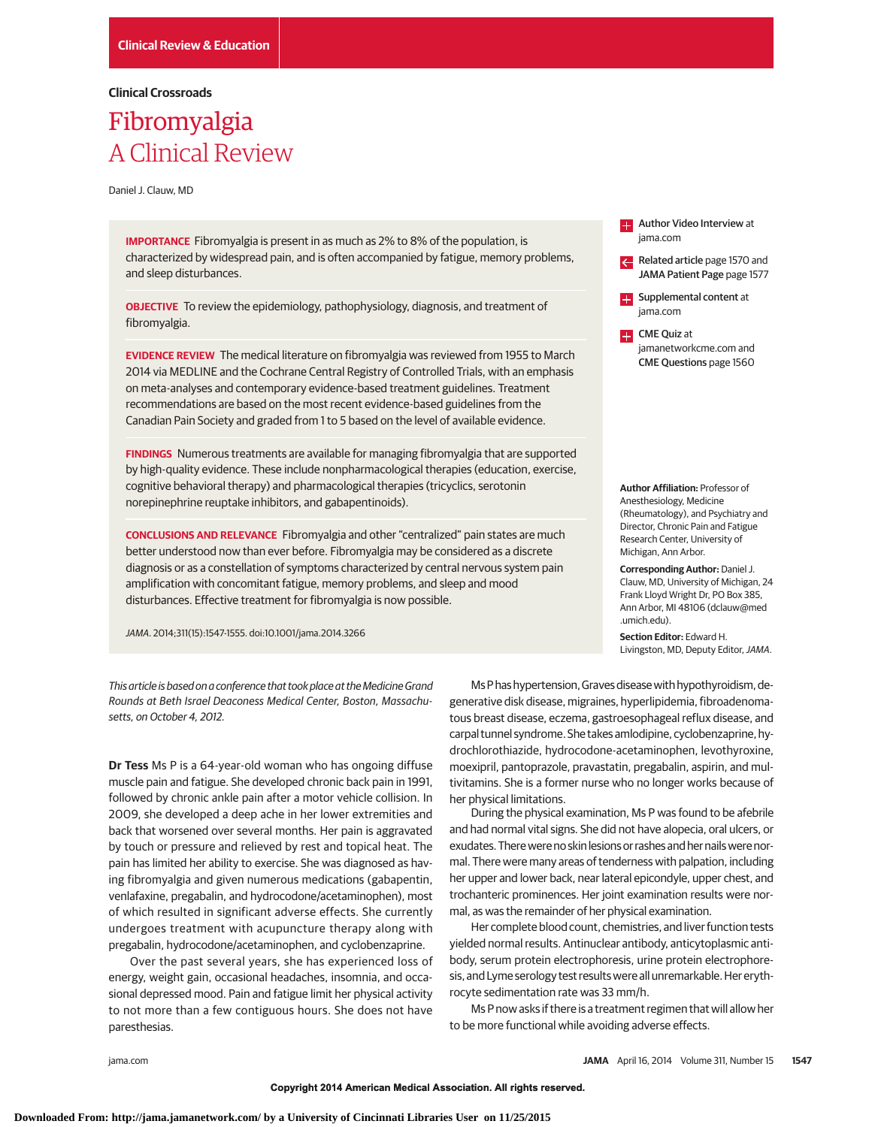#### **Clinical Crossroads**

# Fibromyalgia A Clinical Review

Daniel J. Clauw, MD

**IMPORTANCE** Fibromyalgia is present in as much as 2% to 8% of the population, is characterized by widespread pain, and is often accompanied by fatigue, memory problems, and sleep disturbances.

**OBJECTIVE** To review the epidemiology, pathophysiology, diagnosis, and treatment of fibromyalgia.

**EVIDENCE REVIEW** The medical literature on fibromyalgia was reviewed from 1955 to March 2014 via MEDLINE and the Cochrane Central Registry of Controlled Trials, with an emphasis on meta-analyses and contemporary evidence-based treatment guidelines. Treatment recommendations are based on the most recent evidence-based guidelines from the Canadian Pain Society and graded from 1 to 5 based on the level of available evidence.

**FINDINGS** Numerous treatments are available for managing fibromyalgia that are supported by high-quality evidence. These include nonpharmacological therapies (education, exercise, cognitive behavioral therapy) and pharmacological therapies (tricyclics, serotonin norepinephrine reuptake inhibitors, and gabapentinoids).

**CONCLUSIONS AND RELEVANCE** Fibromyalgia and other "centralized" pain states are much better understood now than ever before. Fibromyalgia may be considered as a discrete diagnosis or as a constellation of symptoms characterized by central nervous system pain amplification with concomitant fatigue, memory problems, and sleep and mood disturbances. Effective treatment for fibromyalgia is now possible.

JAMA. 2014;311(15):1547-1555. doi:10.1001/jama.2014.3266

This article is based on a conference that took place at the Medicine Grand Rounds at Beth Israel Deaconess Medical Center, Boston, Massachusetts, on October 4, 2012.

**Dr Tess** Ms P is a 64-year-old woman who has ongoing diffuse muscle pain and fatigue. She developed chronic back pain in 1991, followed by chronic ankle pain after a motor vehicle collision. In 2009, she developed a deep ache in her lower extremities and back that worsened over several months. Her pain is aggravated by touch or pressure and relieved by rest and topical heat. The pain has limited her ability to exercise. She was diagnosed as having fibromyalgia and given numerous medications (gabapentin, venlafaxine, pregabalin, and hydrocodone/acetaminophen), most of which resulted in significant adverse effects. She currently undergoes treatment with acupuncture therapy along with pregabalin, hydrocodone/acetaminophen, and cyclobenzaprine.

Over the past several years, she has experienced loss of energy, weight gain, occasional headaches, insomnia, and occasional depressed mood. Pain and fatigue limit her physical activity to not more than a few contiguous hours. She does not have paresthesias.

Author Video Interview at jama.com

Related article page 1570 and JAMA Patient Page page 1577

Supplemental content at  $+$ jama.com

**CME** Quiz at jamanetworkcme.com and CME Questions page 1560

**Author Affiliation:** Professor of Anesthesiology, Medicine (Rheumatology), and Psychiatry and Director, Chronic Pain and Fatigue Research Center, University of Michigan, Ann Arbor.

**Corresponding Author:** Daniel J. Clauw, MD, University of Michigan, 24 Frank Lloyd Wright Dr, PO Box 385, Ann Arbor, MI 48106 (dclauw@med .umich.edu).

**Section Editor:** Edward H. Livingston, MD, Deputy Editor, JAMA.

Ms P has hypertension,Graves diseasewith hypothyroidism, degenerative disk disease, migraines, hyperlipidemia, fibroadenomatous breast disease, eczema, gastroesophageal reflux disease, and carpal tunnel syndrome. She takes amlodipine, cyclobenzaprine, hydrochlorothiazide, hydrocodone-acetaminophen, levothyroxine, moexipril, pantoprazole, pravastatin, pregabalin, aspirin, and multivitamins. She is a former nurse who no longer works because of her physical limitations.

During the physical examination, Ms P was found to be afebrile and had normal vital signs. She did not have alopecia, oral ulcers, or exudates. Therewere no skin lesions or rashes and her nailswere normal. There were many areas of tenderness with palpation, including her upper and lower back, near lateral epicondyle, upper chest, and trochanteric prominences. Her joint examination results were normal, as was the remainder of her physical examination.

Her complete blood count, chemistries, and liver function tests yielded normal results. Antinuclear antibody, anticytoplasmic antibody, serum protein electrophoresis, urine protein electrophoresis, and Lyme serology test results were all unremarkable. Her erythrocyte sedimentation rate was 33 mm/h.

Ms P now asks if there is a treatment regimen that will allow her to be more functional while avoiding adverse effects.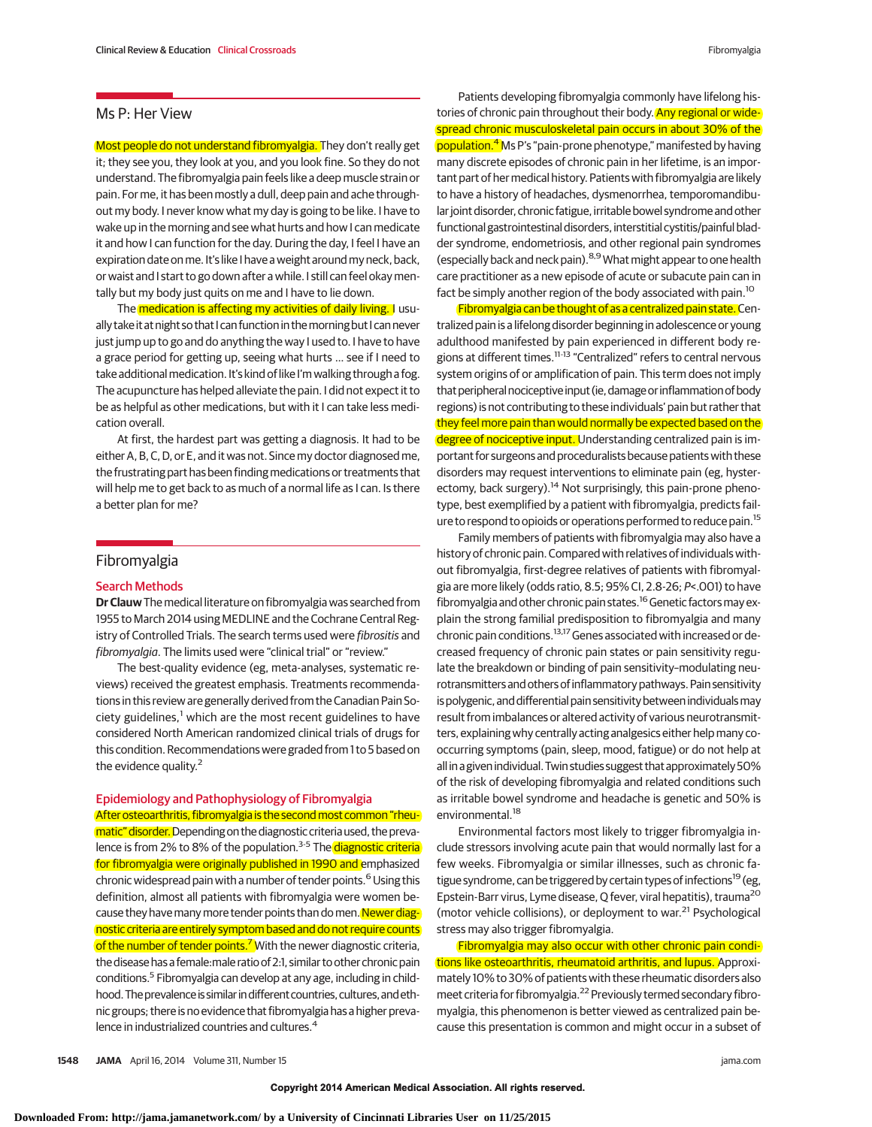# Ms P: Her View

Most people do not understand fibromyalgia. They don't really get it; they see you, they look at you, and you look fine. So they do not understand. The fibromyalgia pain feels like a deep muscle strain or pain. For me, it has been mostly a dull, deep pain and ache throughout my body. I never know what my day is going to be like. I have to wake up in the morning and see what hurts and how I can medicate it and how I can function for the day. During the day, I feel I have an expiration date on me. It's like I have a weight around my neck, back, or waist and I start to go down after a while. I still can feel okay mentally but my body just quits on me and I have to lie down.

The medication is affecting my activities of daily living. I usually take it at night so that I can function in the morning but I can never just jump up to go and do anything the way I used to. I have to have a grace period for getting up, seeing what hurts … see if I need to take additional medication. It's kind of like I'm walking through a fog. The acupuncture has helped alleviate the pain. I did not expect it to be as helpful as other medications, but with it I can take less medication overall.

At first, the hardest part was getting a diagnosis. It had to be either A, B, C, D, or E, and it was not. Since my doctor diagnosed me, the frustrating part has been finding medications or treatments that will help me to get back to as much of a normal life as I can. Is there a better plan for me?

# Fibromyalgia

# Search Methods

**Dr Clauw**The medical literature on fibromyalgia was searched from 1955 to March 2014 using MEDLINE and the Cochrane Central Registry of Controlled Trials. The search terms used were fibrositis and fibromyalgia. The limits used were "clinical trial" or "review."

The best-quality evidence (eg, meta-analyses, systematic reviews) received the greatest emphasis. Treatments recommendations in this review are generally derived from the Canadian Pain Society guidelines, $1$  which are the most recent guidelines to have considered North American randomized clinical trials of drugs for this condition. Recommendations were graded from 1 to 5 based on the evidence quality.<sup>2</sup>

## Epidemiology and Pathophysiology of Fibromyalgia

After osteoarthritis, fibromyalgia is the second most common "rheumatic" disorder. Depending on the diagnostic criteria used, the prevalence is from 2% to 8% of the population.<sup>3-5</sup> The diagnostic criteria for fibromyalgia were originally published in 1990 and emphasized chronic widespread pain with a number of tender points.<sup>6</sup> Using this definition, almost all patients with fibromyalgia were women because they have many more tender points than do men. Newer diagnostic criteria are entirely symptom based and do not require counts of the number of tender points.<sup>7</sup> With the newer diagnostic criteria, the disease has a female:male ratio of 2:1, similar to other chronic pain conditions.<sup>5</sup> Fibromyalgia can develop at any age, including in childhood. The prevalence is similar in different countries, cultures, and ethnic groups; there is no evidence that fibromyalgia has a higher prevalence in industrialized countries and cultures.<sup>4</sup>

Patients developing fibromyalgia commonly have lifelong histories of chronic pain throughout their body. Any regional or widespread chronic musculoskeletal pain occurs in about 30% of the population.<sup>4</sup> Ms P's "pain-prone phenotype," manifested by having many discrete episodes of chronic pain in her lifetime, is an important part of her medical history. Patients with fibromyalgia are likely to have a history of headaches, dysmenorrhea, temporomandibular joint disorder, chronic fatigue, irritable bowel syndrome and other functional gastrointestinal disorders, interstitial cystitis/painful bladder syndrome, endometriosis, and other regional pain syndromes (especially back and neck pain).8,9What might appear to one health care practitioner as a new episode of acute or subacute pain can in fact be simply another region of the body associated with pain.<sup>10</sup>

Fibromyalgia can be thought of as a centralized pain state. Centralized pain is a lifelong disorder beginning in adolescence or young adulthood manifested by pain experienced in different body regions at different times.11-13 "Centralized" refers to central nervous system origins of or amplification of pain. This term does not imply that peripheral nociceptive input (ie, damage or inflammation of body regions) is not contributing to these individuals' pain but rather that they feel more pain than would normally be expected based on the degree of nociceptive input. Understanding centralized pain is important for surgeons and proceduralists because patients with these disorders may request interventions to eliminate pain (eg, hysterectomy, back surgery).<sup>14</sup> Not surprisingly, this pain-prone phenotype, best exemplified by a patient with fibromyalgia, predicts failure to respond to opioids or operations performed to reduce pain.<sup>15</sup>

Family members of patients with fibromyalgia may also have a history of chronic pain. Compared with relatives of individuals without fibromyalgia, first-degree relatives of patients with fibromyalgia are more likely (odds ratio, 8.5; 95% CI, 2.8-26; P<.001) to have fibromyalgia and other chronic pain states.<sup>16</sup> Genetic factors may explain the strong familial predisposition to fibromyalgia and many chronic pain conditions.<sup>13,17</sup> Genes associated with increased or decreased frequency of chronic pain states or pain sensitivity regulate the breakdown or binding of pain sensitivity–modulating neurotransmitters and others of inflammatory pathways. Pain sensitivity is polygenic, and differential pain sensitivity between individualsmay result from imbalances or altered activity of various neurotransmitters, explaining why centrally acting analgesics either help many cooccurring symptoms (pain, sleep, mood, fatigue) or do not help at all in a given individual. Twin studies suggest that approximately 50% of the risk of developing fibromyalgia and related conditions such as irritable bowel syndrome and headache is genetic and 50% is environmental.<sup>18</sup>

Environmental factors most likely to trigger fibromyalgia include stressors involving acute pain that would normally last for a few weeks. Fibromyalgia or similar illnesses, such as chronic fatigue syndrome, can be triggered by certain types of infections<sup>19</sup> (eg, Epstein-Barr virus, Lyme disease, Q fever, viral hepatitis), trauma20 (motor vehicle collisions), or deployment to war.<sup>21</sup> Psychological stress may also trigger fibromyalgia.

Fibromyalgia may also occur with other chronic pain conditions like osteoarthritis, rheumatoid arthritis, and lupus. Approximately 10% to 30% of patients with these rheumatic disorders also meet criteria for fibromyalgia.<sup>22</sup> Previously termed secondary fibromyalgia, this phenomenon is better viewed as centralized pain because this presentation is common and might occur in a subset of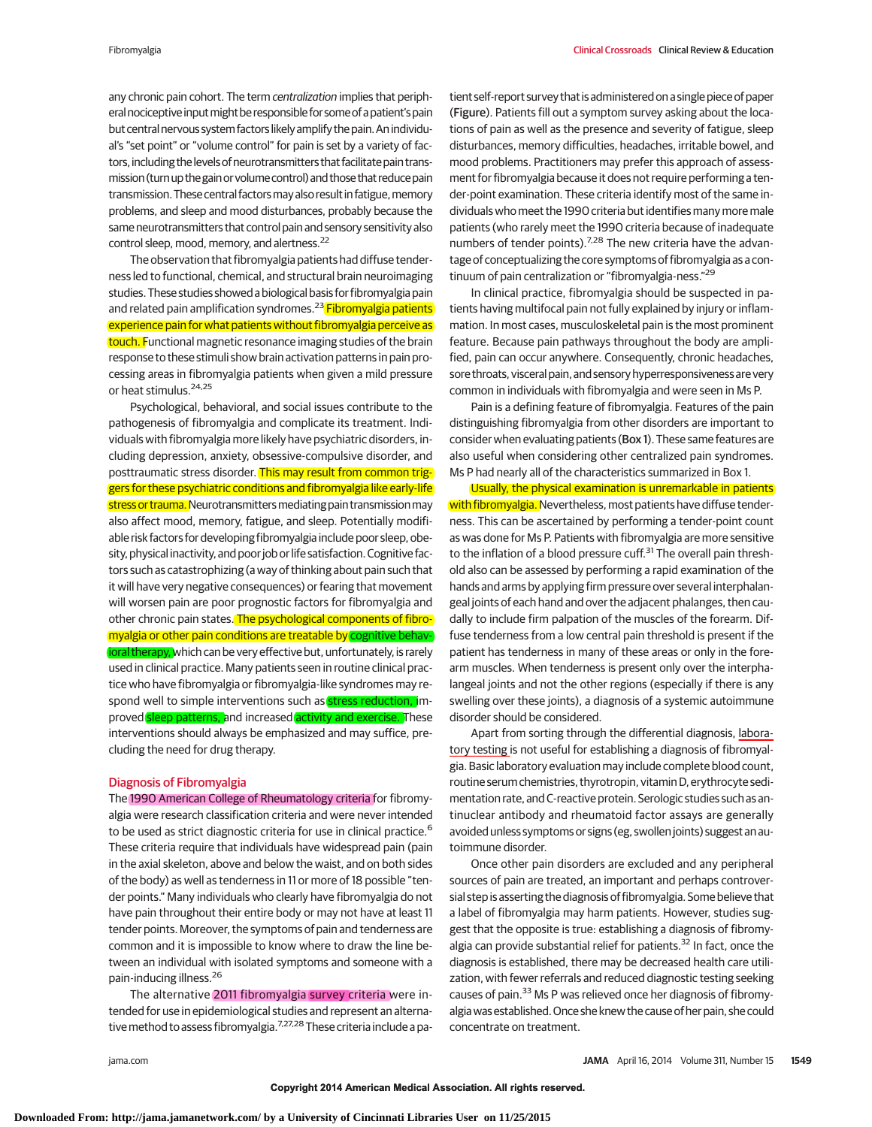any chronic pain cohort. The term centralization implies that peripheral nociceptive input might be responsible for some of a patient's pain but central nervous system factors likely amplify the pain. An individual's "set point" or "volume control" for pain is set by a variety of factors, including the levels of neurotransmitters that facilitate pain transmission (turn up the gain or volume control) and those that reduce pain transmission. These central factors may also result in fatigue, memory problems, and sleep and mood disturbances, probably because the same neurotransmitters that control pain and sensory sensitivity also control sleep, mood, memory, and alertness.22

The observation that fibromyalgia patients had diffuse tenderness led to functional, chemical, and structural brain neuroimaging studies. These studies showed a biological basis for fibromyalgia pain and related pain amplification syndromes.<sup>23</sup> Fibromyalgia patients experience pain for what patients without fibromyalgia perceive as touch. Functional magnetic resonance imaging studies of the brain response to these stimuli show brain activation patterns in pain processing areas in fibromyalgia patients when given a mild pressure or heat stimulus.<sup>24,25</sup>

Psychological, behavioral, and social issues contribute to the pathogenesis of fibromyalgia and complicate its treatment. Individuals with fibromyalgia more likely have psychiatric disorders, including depression, anxiety, obsessive-compulsive disorder, and posttraumatic stress disorder. This may result from common triggers for these psychiatric conditions and fibromyalgia like early-life stress or trauma. Neurotransmitters mediating pain transmission may also affect mood, memory, fatigue, and sleep. Potentially modifiable risk factors for developing fibromyalgia include poor sleep, obesity, physical inactivity, and poor job or life satisfaction. Cognitive factors such as catastrophizing (a way of thinking about pain such that it will have very negative consequences) or fearing that movement will worsen pain are poor prognostic factors for fibromyalgia and other chronic pain states. The psychological components of fibromyalgia or other pain conditions are treatable by cognitive behavioral therapy, which can be very effective but, unfortunately, is rarely used in clinical practice. Many patients seen in routine clinical practice who have fibromyalgia or fibromyalgia-like syndromes may respond well to simple interventions such as stress reduction, improved sleep patterns, and increased activity and exercise. These interventions should always be emphasized and may suffice, precluding the need for drug therapy.

## Diagnosis of Fibromyalgia

The 1990 American College of Rheumatology criteria for fibromyalgia were research classification criteria and were never intended to be used as strict diagnostic criteria for use in clinical practice.<sup>6</sup> These criteria require that individuals have widespread pain (pain in the axial skeleton, above and below the waist, and on both sides of the body) as well as tenderness in 11 or more of 18 possible "tender points." Many individuals who clearly have fibromyalgia do not have pain throughout their entire body or may not have at least 11 tender points. Moreover, the symptoms of pain and tenderness are common and it is impossible to know where to draw the line between an individual with isolated symptoms and someone with a pain-inducing illness.<sup>26</sup>

The alternative 2011 fibromyalgia survey criteria were intended for use in epidemiological studies and represent an alternative method to assess fibromyalgia.<sup>7,27,28</sup> These criteria include a patient self-report survey that is administered on a single piece of paper (Figure). Patients fill out a symptom survey asking about the locations of pain as well as the presence and severity of fatigue, sleep disturbances, memory difficulties, headaches, irritable bowel, and mood problems. Practitioners may prefer this approach of assessment for fibromyalgia because it does not require performing a tender-point examination. These criteria identify most of the same individuals who meet the 1990 criteria but identifies many more male patients (who rarely meet the 1990 criteria because of inadequate numbers of tender points).<sup>7,28</sup> The new criteria have the advantage of conceptualizing the core symptoms of fibromyalgia as a continuum of pain centralization or "fibromyalgia-ness."<sup>29</sup>

In clinical practice, fibromyalgia should be suspected in patients having multifocal pain not fully explained by injury or inflammation. In most cases, musculoskeletal pain is the most prominent feature. Because pain pathways throughout the body are amplified, pain can occur anywhere. Consequently, chronic headaches, sore throats, visceral pain, and sensory hyperresponsiveness are very common in individuals with fibromyalgia and were seen in Ms P.

Pain is a defining feature of fibromyalgia. Features of the pain distinguishing fibromyalgia from other disorders are important to consider when evaluating patients (Box 1). These same features are also useful when considering other centralized pain syndromes. Ms P had nearly all of the characteristics summarized in Box 1.

Usually, the physical examination is unremarkable in patients with fibromyalgia. Nevertheless, most patients have diffuse tenderness. This can be ascertained by performing a tender-point count as was done for Ms P. Patients with fibromyalgia are more sensitive to the inflation of a blood pressure cuff.<sup>31</sup> The overall pain threshold also can be assessed by performing a rapid examination of the hands and arms by applying firm pressure over several interphalangeal joints of each hand and over the adjacent phalanges, then caudally to include firm palpation of the muscles of the forearm. Diffuse tenderness from a low central pain threshold is present if the patient has tenderness in many of these areas or only in the forearm muscles. When tenderness is present only over the interphalangeal joints and not the other regions (especially if there is any swelling over these joints), a diagnosis of a systemic autoimmune disorder should be considered.

Apart from sorting through the differential diagnosis, laboratory testing is not useful for establishing a diagnosis of fibromyalgia. Basic laboratory evaluation may include complete blood count, routine serum chemistries, thyrotropin, vitaminD, erythrocyte sedimentation rate, and C-reactive protein. Serologic studies such as antinuclear antibody and rheumatoid factor assays are generally avoided unless symptoms or signs (eg, swollen joints) suggest an autoimmune disorder.

Once other pain disorders are excluded and any peripheral sources of pain are treated, an important and perhaps controversial step is asserting the diagnosis of fibromyalgia. Some believe that a label of fibromyalgia may harm patients. However, studies suggest that the opposite is true: establishing a diagnosis of fibromyalgia can provide substantial relief for patients.<sup>32</sup> In fact, once the diagnosis is established, there may be decreased health care utilization, with fewer referrals and reduced diagnostic testing seeking causes of pain.<sup>33</sup> Ms P was relieved once her diagnosis of fibromyalgia was established. Once she knew the cause of her pain, she could concentrate on treatment.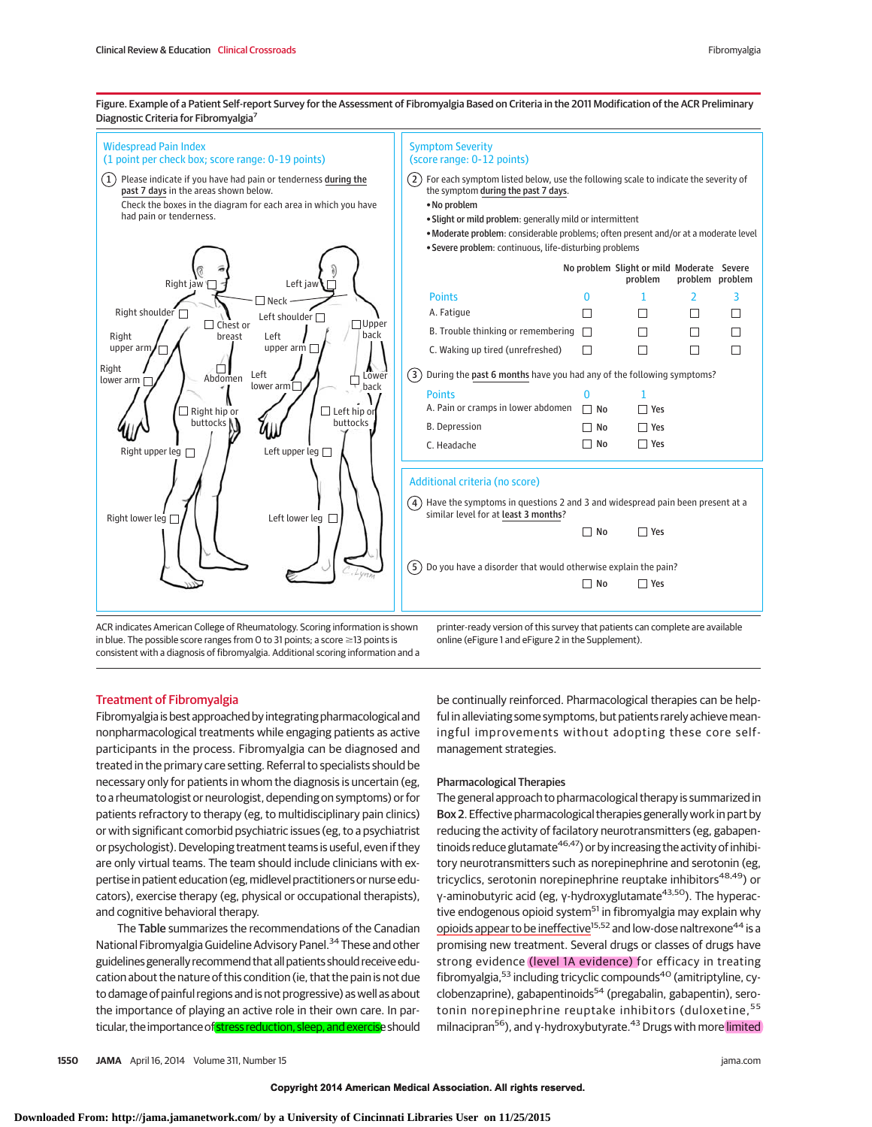

Figure. Example of a Patient Self-report Survey for the Assessment of Fibromyalgia Based on Criteria in the 2011 Modification of the ACR Preliminary Diagnostic Criteria for Fibromyalgia<sup>7</sup>

in blue. The possible score ranges from O to 31 points; a score  $\geq$ 13 points is consistent with a diagnosis of fibromyalgia. Additional scoring information and a printer-ready version of this survey that patients can complete are available online (eFigure 1 and eFigure 2 in the Supplement).

## Treatment of Fibromyalgia

Fibromyalgia is best approached by integrating pharmacological and nonpharmacological treatments while engaging patients as active participants in the process. Fibromyalgia can be diagnosed and treated in the primary care setting. Referral to specialists should be necessary only for patients in whom the diagnosis is uncertain (eg, to a rheumatologist or neurologist, depending on symptoms) or for patients refractory to therapy (eg, to multidisciplinary pain clinics) or with significant comorbid psychiatric issues (eg, to a psychiatrist or psychologist). Developing treatment teams is useful, even if they are only virtual teams. The team should include clinicians with expertise in patient education (eg, midlevel practitioners or nurse educators), exercise therapy (eg, physical or occupational therapists), and cognitive behavioral therapy.

The Table summarizes the recommendations of the Canadian National Fibromyalgia Guideline Advisory Panel.<sup>34</sup> These and other guidelines generally recommend that all patients should receive education about the nature of this condition (ie, that the pain is not due to damage of painful regions and is not progressive) as well as about the importance of playing an active role in their own care. In particular, the importance of stress reduction, sleep, andexercise should be continually reinforced. Pharmacological therapies can be helpful in alleviating some symptoms, but patients rarely achieve meaningful improvements without adopting these core selfmanagement strategies.

# Pharmacological Therapies

The general approach to pharmacological therapy is summarized in Box 2. Effective pharmacological therapies generally work in part by reducing the activity of facilatory neurotransmitters (eg, gabapentinoids reduce glutamate $46,47$ ) or by increasing the activity of inhibitory neurotransmitters such as norepinephrine and serotonin (eg, tricyclics, serotonin norepinephrine reuptake inhibitors<sup>48,49</sup>) or γ-aminobutyric acid (eg, γ-hydroxyglutamate<sup>43,50</sup>). The hyperactive endogenous opioid system<sup>51</sup> in fibromyalgia may explain why opioids appear to be ineffective<sup>15,52</sup> and low-dose naltrexone<sup>44</sup> is a promising new treatment. Several drugs or classes of drugs have strong evidence (level 1A evidence) for efficacy in treating fibromyalgia,<sup>53</sup> including tricyclic compounds<sup>40</sup> (amitriptyline, cyclobenzaprine), gabapentinoids<sup>54</sup> (pregabalin, gabapentin), serotonin norepinephrine reuptake inhibitors (duloxetine,<sup>55</sup> milnacipran<sup>56</sup>), and y-hydroxybutyrate.<sup>43</sup> Drugs with more limited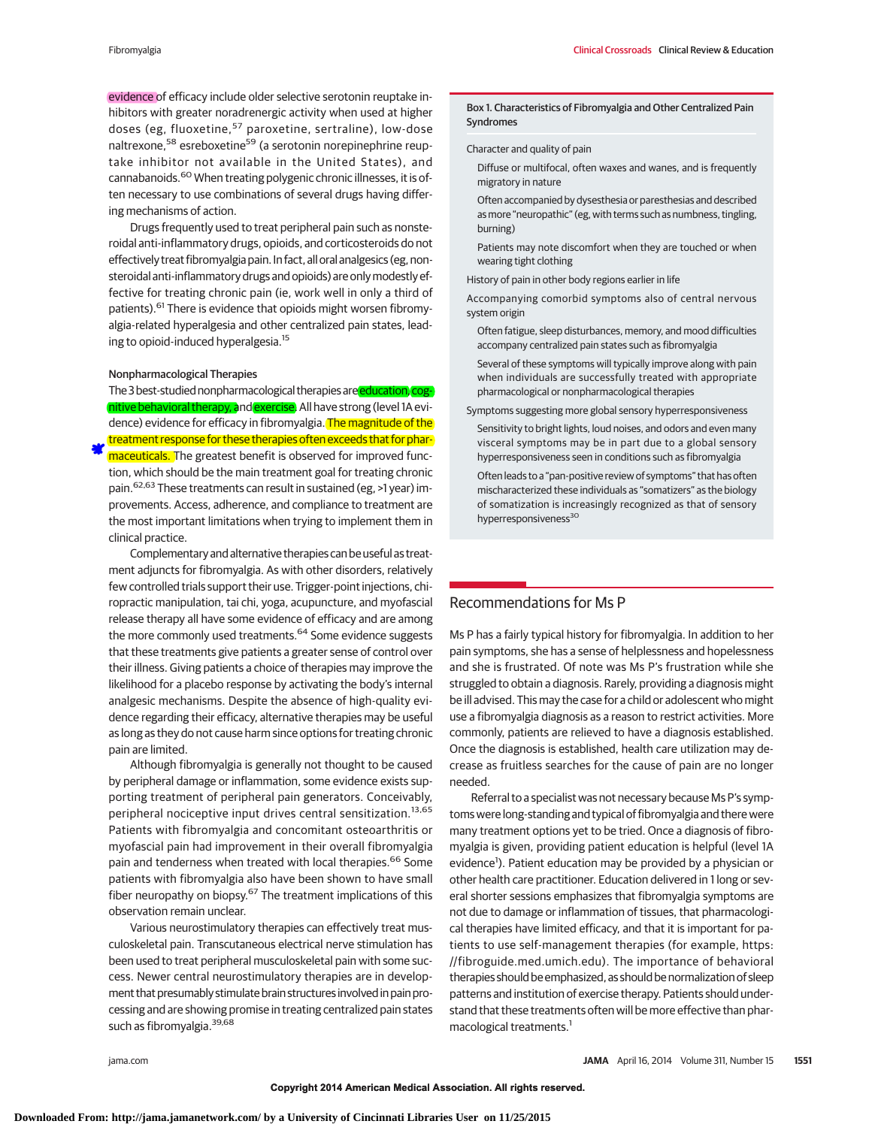Fibromyalgia Clinical Crossroads Clinical Review & Education

evidence of efficacy include older selective serotonin reuptake inhibitors with greater noradrenergic activity when used at higher doses (eg, fluoxetine, <sup>57</sup> paroxetine, sertraline), low-dose naltrexone,<sup>58</sup> esreboxetine<sup>59</sup> (a serotonin norepinephrine reuptake inhibitor not available in the United States), and cannabanoids.<sup>60</sup> When treating polygenic chronic illnesses, it is often necessary to use combinations of several drugs having differing mechanisms of action.

Drugs frequently used to treat peripheral pain such as nonsteroidal anti-inflammatory drugs, opioids, and corticosteroids do not effectively treat fibromyalgia pain. In fact, all oral analgesics (eg, nonsteroidal anti-inflammatory drugs and opioids) are onlymodestly effective for treating chronic pain (ie, work well in only a third of patients).<sup>61</sup> There is evidence that opioids might worsen fibromyalgia-related hyperalgesia and other centralized pain states, leading to opioid-induced hyperalgesia.<sup>15</sup>

## Nonpharmacological Therapies

The 3 best-studied nonpharmacological therapiesareeducation, cognitive behavioral therapy, and exercise.All have strong (level 1A evidence) evidence for efficacy in fibromyalgia. The magnitude of the treatment response for these therapies often exceeds that for pharmaceuticals. The greatest benefit is observed for improved function, which should be the main treatment goal for treating chronic pain.62,63 These treatments can result in sustained (eg, >1 year) improvements. Access, adherence, and compliance to treatment are the most important limitations when trying to implement them in clinical practice.

Complementary and alternative therapies can be useful as treatment adjuncts for fibromyalgia. As with other disorders, relatively few controlled trials support their use. Trigger-point injections, chiropractic manipulation, tai chi, yoga, acupuncture, and myofascial release therapy all have some evidence of efficacy and are among the more commonly used treatments.<sup>64</sup> Some evidence suggests that these treatments give patients a greater sense of control over their illness. Giving patients a choice of therapies may improve the likelihood for a placebo response by activating the body's internal analgesic mechanisms. Despite the absence of high-quality evidence regarding their efficacy, alternative therapies may be useful as long as they do not cause harm since options for treating chronic pain are limited.

Although fibromyalgia is generally not thought to be caused by peripheral damage or inflammation, some evidence exists supporting treatment of peripheral pain generators. Conceivably, peripheral nociceptive input drives central sensitization.<sup>13,65</sup> Patients with fibromyalgia and concomitant osteoarthritis or myofascial pain had improvement in their overall fibromyalgia pain and tenderness when treated with local therapies.<sup>66</sup> Some patients with fibromyalgia also have been shown to have small fiber neuropathy on biopsy.<sup>67</sup> The treatment implications of this observation remain unclear.

Various neurostimulatory therapies can effectively treat musculoskeletal pain. Transcutaneous electrical nerve stimulation has been used to treat peripheral musculoskeletal pain with some success. Newer central neurostimulatory therapies are in development that presumably stimulate brain structures involved in pain processing and are showing promise in treating centralized pain states such as fibromyalgia.<sup>39,68</sup>

# Box 1. Characteristics of Fibromyalgia and Other Centralized Pain Syndromes

#### Character and quality of pain

- Diffuse or multifocal, often waxes and wanes, and is frequently migratory in nature
- Often accompanied by dysesthesia or paresthesias and described as more "neuropathic" (eg, with terms such as numbness, tingling, burning)
- Patients may note discomfort when they are touched or when wearing tight clothing
- History of pain in other body regions earlier in life

Accompanying comorbid symptoms also of central nervous system origin

- Often fatigue, sleep disturbances, memory, and mood difficulties accompany centralized pain states such as fibromyalgia
- Several of these symptoms will typically improve along with pain when individuals are successfully treated with appropriate pharmacological or nonpharmacological therapies
- Symptoms suggesting more global sensory hyperresponsiveness
- Sensitivity to bright lights, loud noises, and odors and even many visceral symptoms may be in part due to a global sensory hyperresponsiveness seen in conditions such as fibromyalgia

Often leads to a "pan-positive review of symptoms" that has often mischaracterized these individuals as "somatizers" as the biology of somatization is increasingly recognized as that of sensory hyperresponsiveness<sup>30</sup>

# Recommendations for Ms P

Ms P has a fairly typical history for fibromyalgia. In addition to her pain symptoms, she has a sense of helplessness and hopelessness and she is frustrated. Of note was Ms P's frustration while she struggled to obtain a diagnosis. Rarely, providing a diagnosis might be ill advised. This may the case for a child or adolescent who might use a fibromyalgia diagnosis as a reason to restrict activities. More commonly, patients are relieved to have a diagnosis established. Once the diagnosis is established, health care utilization may decrease as fruitless searches for the cause of pain are no longer needed.

Referral to a specialist was not necessary because Ms P's symptoms were long-standing and typical of fibromyalgia and there were many treatment options yet to be tried. Once a diagnosis of fibromyalgia is given, providing patient education is helpful (level 1A evidence<sup>1</sup>). Patient education may be provided by a physician or other health care practitioner. Education delivered in 1 long or several shorter sessions emphasizes that fibromyalgia symptoms are not due to damage or inflammation of tissues, that pharmacological therapies have limited efficacy, and that it is important for patients to use self-management therapies (for example, https: //fibroguide.med.umich.edu). The importance of behavioral therapies should beemphasized, as should be normalization of sleep patterns and institution of exercise therapy. Patients should understand that these treatments often will be more effective than pharmacological treatments.<sup>1</sup>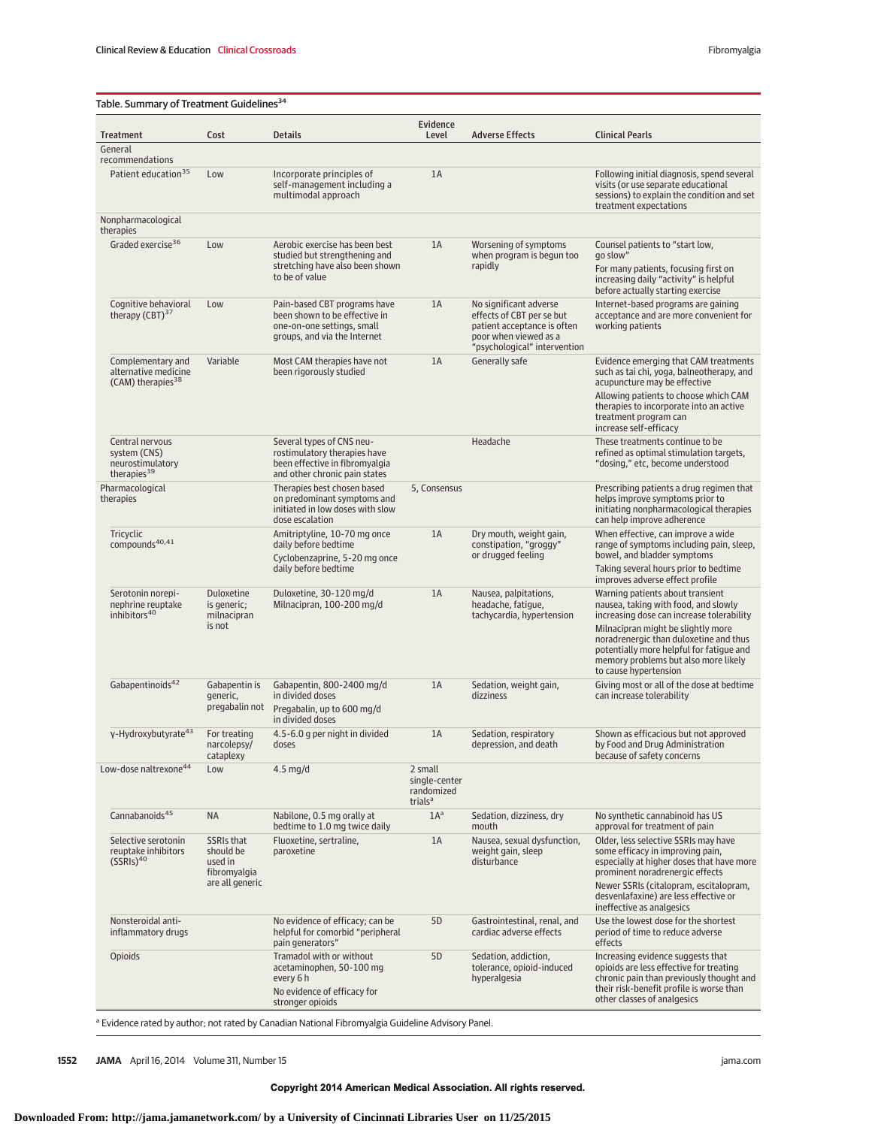# Table. Summary of Treatment Guidelines<sup>34</sup>

| <b>Treatment</b>                                                               | Cost                                                                         | <b>Details</b>                                                                                                               | Evidence<br>Level                                             | <b>Adverse Effects</b>                                                                                                                      | <b>Clinical Pearls</b>                                                                                                                                                                                                                                                                                             |
|--------------------------------------------------------------------------------|------------------------------------------------------------------------------|------------------------------------------------------------------------------------------------------------------------------|---------------------------------------------------------------|---------------------------------------------------------------------------------------------------------------------------------------------|--------------------------------------------------------------------------------------------------------------------------------------------------------------------------------------------------------------------------------------------------------------------------------------------------------------------|
| General                                                                        |                                                                              |                                                                                                                              |                                                               |                                                                                                                                             |                                                                                                                                                                                                                                                                                                                    |
| recommendations<br>Patient education <sup>35</sup>                             | Low                                                                          | Incorporate principles of<br>self-management including a<br>multimodal approach                                              | 1A                                                            |                                                                                                                                             | Following initial diagnosis, spend several<br>visits (or use separate educational<br>sessions) to explain the condition and set<br>treatment expectations                                                                                                                                                          |
| Nonpharmacological<br>therapies                                                |                                                                              |                                                                                                                              |                                                               |                                                                                                                                             |                                                                                                                                                                                                                                                                                                                    |
| Graded exercise <sup>36</sup>                                                  | Low                                                                          | Aerobic exercise has been best<br>studied but strengthening and<br>stretching have also been shown<br>to be of value         | 1A                                                            | Worsening of symptoms<br>when program is begun too<br>rapidly                                                                               | Counsel patients to "start low,<br>qo slow"<br>For many patients, focusing first on<br>increasing daily "activity" is helpful<br>before actually starting exercise                                                                                                                                                 |
| Cognitive behavioral<br>therapy $(CBT)^{37}$                                   | Low                                                                          | Pain-based CBT programs have<br>been shown to be effective in<br>one-on-one settings, small<br>groups, and via the Internet  | 1A                                                            | No significant adverse<br>effects of CBT per se but<br>patient acceptance is often<br>poor when viewed as a<br>"psychological" intervention | Internet-based programs are gaining<br>acceptance and are more convenient for<br>working patients                                                                                                                                                                                                                  |
| Complementary and<br>alternative medicine<br>$(CAM)$ therapies <sup>38</sup>   | Variable                                                                     | Most CAM therapies have not<br>been rigorously studied                                                                       | 1A                                                            | Generally safe                                                                                                                              | Evidence emerging that CAM treatments<br>such as tai chi, yoga, balneotherapy, and<br>acupuncture may be effective<br>Allowing patients to choose which CAM<br>therapies to incorporate into an active<br>treatment program can<br>increase self-efficacy                                                          |
| Central nervous<br>system (CNS)<br>neurostimulatory<br>therapies <sup>39</sup> |                                                                              | Several types of CNS neu-<br>rostimulatory therapies have<br>been effective in fibromyalgia<br>and other chronic pain states |                                                               | Headache                                                                                                                                    | These treatments continue to be<br>refined as optimal stimulation targets,<br>"dosing," etc, become understood                                                                                                                                                                                                     |
| Pharmacological<br>therapies                                                   |                                                                              | Therapies best chosen based<br>on predominant symptoms and<br>initiated in low doses with slow<br>dose escalation            | 5, Consensus                                                  |                                                                                                                                             | Prescribing patients a drug regimen that<br>helps improve symptoms prior to<br>initiating nonpharmacological therapies<br>can help improve adherence                                                                                                                                                               |
| <b>Tricyclic</b><br>compounds <sup>40,41</sup>                                 |                                                                              | Amitriptyline, 10-70 mg once<br>daily before bedtime<br>Cyclobenzaprine, 5-20 mg once<br>daily before bedtime                | 1A                                                            | Dry mouth, weight gain,<br>constipation, "groggy"<br>or drugged feeling                                                                     | When effective, can improve a wide<br>range of symptoms including pain, sleep,<br>bowel, and bladder symptoms<br>Taking several hours prior to bedtime<br>improves adverse effect profile                                                                                                                          |
| Serotonin norepi-<br>nephrine reuptake<br>inhibitors <sup>40</sup>             | Duloxetine<br>is generic;<br>milnacipran<br>is not                           | Duloxetine, 30-120 mg/d<br>Milnacipran, 100-200 mg/d                                                                         | 1A                                                            | Nausea, palpitations,<br>headache, fatigue,<br>tachycardia, hypertension                                                                    | Warning patients about transient<br>nausea, taking with food, and slowly<br>increasing dose can increase tolerability<br>Milnacipran might be slightly more<br>noradrenergic than duloxetine and thus<br>potentially more helpful for fatigue and<br>memory problems but also more likely<br>to cause hypertension |
| Gabapentinoids <sup>42</sup>                                                   | Gabapentin is<br>generic,<br>pregabalin not                                  | Gabapentin, 800-2400 mg/d<br>in divided doses<br>Pregabalin, up to 600 mg/d<br>in divided doses                              | 1A                                                            | Sedation, weight gain,<br>dizziness                                                                                                         | Giving most or all of the dose at bedtime<br>can increase tolerability                                                                                                                                                                                                                                             |
| y-Hydroxybutyrate <sup>43</sup>                                                | For treating<br>narcolepsy/<br>cataplexy                                     | 4.5-6.0 g per night in divided<br>doses                                                                                      | 1A                                                            | Sedation, respiratory<br>depression, and death                                                                                              | Shown as efficacious but not approved<br>by Food and Drug Administration<br>because of safety concerns                                                                                                                                                                                                             |
| Low-dose naltrexone <sup>44</sup>                                              | Low                                                                          | $4.5 \text{ mg/d}$                                                                                                           | 2 small<br>single-center<br>randomized<br>trials <sup>a</sup> |                                                                                                                                             |                                                                                                                                                                                                                                                                                                                    |
| Cannabanoids <sup>45</sup>                                                     | <b>NA</b>                                                                    | Nabilone, 0.5 mg orally at<br>bedtime to 1.0 mg twice daily                                                                  | $1A^a$                                                        | Sedation, dizziness, dry<br>mouth                                                                                                           | No synthetic cannabinoid has US<br>approval for treatment of pain                                                                                                                                                                                                                                                  |
| Selective serotonin<br>reuptake inhibitors<br>$(SSRIs)^{40}$                   | <b>SSRIs that</b><br>should be<br>used in<br>fibromyalgia<br>are all generic | Fluoxetine, sertraline,<br>paroxetine                                                                                        | 1A                                                            | Nausea, sexual dysfunction,<br>weight gain, sleep<br>disturbance                                                                            | Older, less selective SSRIs may have<br>some efficacy in improving pain,<br>especially at higher doses that have more<br>prominent noradrenergic effects<br>Newer SSRIs (citalopram, escitalopram,<br>desvenlafaxine) are less effective or<br>ineffective as analgesics                                           |
| Nonsteroidal anti-<br>inflammatory drugs                                       |                                                                              | No evidence of efficacy; can be<br>helpful for comorbid "peripheral<br>pain generators"                                      | 5D                                                            | Gastrointestinal, renal, and<br>cardiac adverse effects                                                                                     | Use the lowest dose for the shortest<br>period of time to reduce adverse<br>effects                                                                                                                                                                                                                                |
| Opioids                                                                        |                                                                              | Tramadol with or without<br>acetaminophen, 50-100 mg<br>every 6 h<br>No evidence of efficacy for<br>stronger opioids         | 5D                                                            | Sedation, addiction,<br>tolerance, opioid-induced<br>hyperalgesia                                                                           | Increasing evidence suggests that<br>opioids are less effective for treating<br>chronic pain than previously thought and<br>their risk-benefit profile is worse than<br>other classes of analgesics                                                                                                                |

**1552 JAMA** April 16, 2014 Volume 311, Number 15 **jama.com 15** jama.com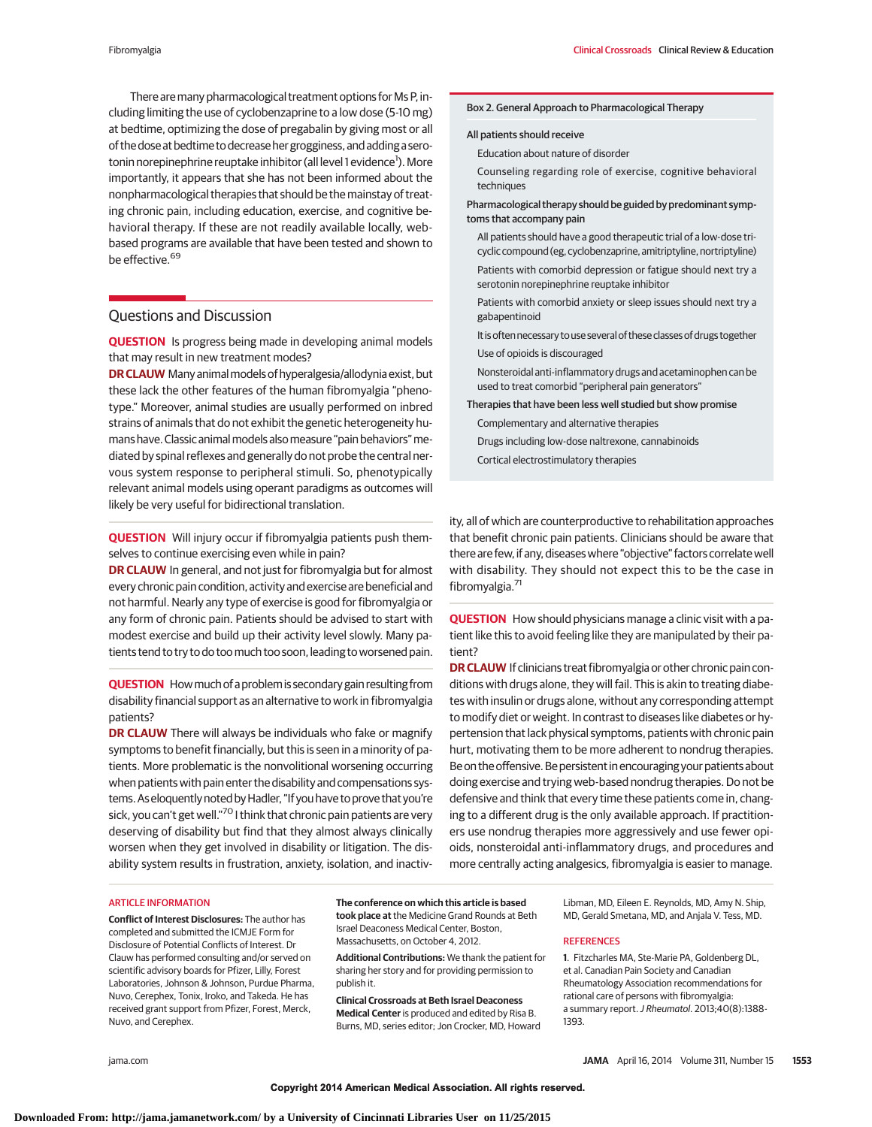There are many pharmacological treatment options for Ms P, including limiting the use of cyclobenzaprine to a low dose (5-10 mg) at bedtime, optimizing the dose of pregabalin by giving most or all of the doseat bedtime to decrease her grogginess,andaddinga serotonin norepinephrine reuptake inhibitor (all level 1 evidence<sup>1</sup>). More importantly, it appears that she has not been informed about the nonpharmacological therapies that should be the mainstay of treating chronic pain, including education, exercise, and cognitive behavioral therapy. If these are not readily available locally, webbased programs are available that have been tested and shown to be effective.<sup>69</sup>

# Questions and Discussion

**QUESTION** Is progress being made in developing animal models that may result in new treatment modes?

**DR CLAUW** Many animal models of hyperalgesia/allodynia exist, but these lack the other features of the human fibromyalgia "phenotype." Moreover, animal studies are usually performed on inbred strains of animals that do not exhibit the genetic heterogeneity humans have. Classic animal models also measure "pain behaviors" mediated by spinal reflexes and generally do not probe the central nervous system response to peripheral stimuli. So, phenotypically relevant animal models using operant paradigms as outcomes will likely be very useful for bidirectional translation.

**QUESTION** Will injury occur if fibromyalgia patients push themselves to continue exercising even while in pain?

**DR CLAUW** In general, and not just for fibromyalgia but for almost every chronic pain condition, activity and exercise are beneficial and not harmful. Nearly any type of exercise is good for fibromyalgia or any form of chronic pain. Patients should be advised to start with modest exercise and build up their activity level slowly. Many patients tend to try to do toomuch too soon, leading to worsened pain.

**QUESTION** How much of a problem is secondary gain resulting from disability financial support as an alternative to work in fibromyalgia patients?

**DR CLAUW** There will always be individuals who fake or magnify symptoms to benefit financially, but this is seen in a minority of patients. More problematic is the nonvolitional worsening occurring when patients with pain enter the disability and compensations systems. As eloquently noted by Hadler, "If you have to prove that you're sick, you can't get well."<sup>70</sup> I think that chronic pain patients are very deserving of disability but find that they almost always clinically worsen when they get involved in disability or litigation. The disability system results in frustration, anxiety, isolation, and inactiv-

## Box 2. General Approach to Pharmacological Therapy

## All patients should receive

Education about nature of disorder

Counseling regarding role of exercise, cognitive behavioral techniques

Pharmacological therapy should be guided by predominant symptoms that accompany pain

All patients should have a good therapeutic trial of a low-dose tricyclic compound (eg, cyclobenzaprine, amitriptyline, nortriptyline)

Patients with comorbid depression or fatigue should next try a serotonin norepinephrine reuptake inhibitor

Patients with comorbid anxiety or sleep issues should next try a gabapentinoid

It is often necessary to use several of these classes of drugs together Use of opioids is discouraged

Nonsteroidal anti-inflammatory drugs and acetaminophen can be used to treat comorbid "peripheral pain generators"

Therapies that have been less well studied but show promise

Complementary and alternative therapies

Drugs including low-dose naltrexone, cannabinoids

Cortical electrostimulatory therapies

ity, all of which are counterproductive to rehabilitation approaches that benefit chronic pain patients. Clinicians should be aware that there are few, if any, diseases where "objective" factors correlate well with disability. They should not expect this to be the case in fibromyalgia.71

**QUESTION** How should physicians manage a clinic visit with a patient like this to avoid feeling like they are manipulated by their patient?

**DR CLAUW** If clinicians treat fibromyalgia or other chronic pain conditions with drugs alone, they will fail. This is akin to treating diabetes with insulin or drugs alone, without any corresponding attempt to modify diet or weight. In contrast to diseases like diabetes or hypertension that lack physical symptoms, patients with chronic pain hurt, motivating them to be more adherent to nondrug therapies. Be on the offensive. Be persistent inencouragingyour patients about doing exercise and trying web-based nondrug therapies. Do not be defensive and think that every time these patients come in, changing to a different drug is the only available approach. If practitioners use nondrug therapies more aggressively and use fewer opioids, nonsteroidal anti-inflammatory drugs, and procedures and more centrally acting analgesics, fibromyalgia is easier to manage.

## ARTICLE INFORMATION

**Conflict of Interest Disclosures:** The author has completed and submitted the ICMJE Form for Disclosure of Potential Conflicts of Interest. Dr Clauw has performed consulting and/or served on scientific advisory boards for Pfizer, Lilly, Forest Laboratories, Johnson & Johnson, Purdue Pharma, Nuvo, Cerephex, Tonix, Iroko, and Takeda. He has received grant support from Pfizer, Forest, Merck, Nuvo, and Cerephex.

**The conference on which this article is based took place at** the Medicine Grand Rounds at Beth Israel Deaconess Medical Center, Boston, Massachusetts, on October 4, 2012.

**Additional Contributions:** We thank the patient for sharing her story and for providing permission to publish it.

**Clinical Crossroads at Beth Israel Deaconess Medical Center** is produced and edited by Risa B. Burns, MD, series editor; Jon Crocker, MD, Howard Libman, MD, Eileen E. Reynolds, MD, Amy N. Ship, MD, Gerald Smetana, MD, and Anjala V. Tess, MD.

#### **REFERENCES**

**1**. Fitzcharles MA, Ste-Marie PA, Goldenberg DL, et al. Canadian Pain Society and Canadian Rheumatology Association recommendations for rational care of persons with fibromyalgia: a summary report.J Rheumatol. 2013;40(8):1388- 1393.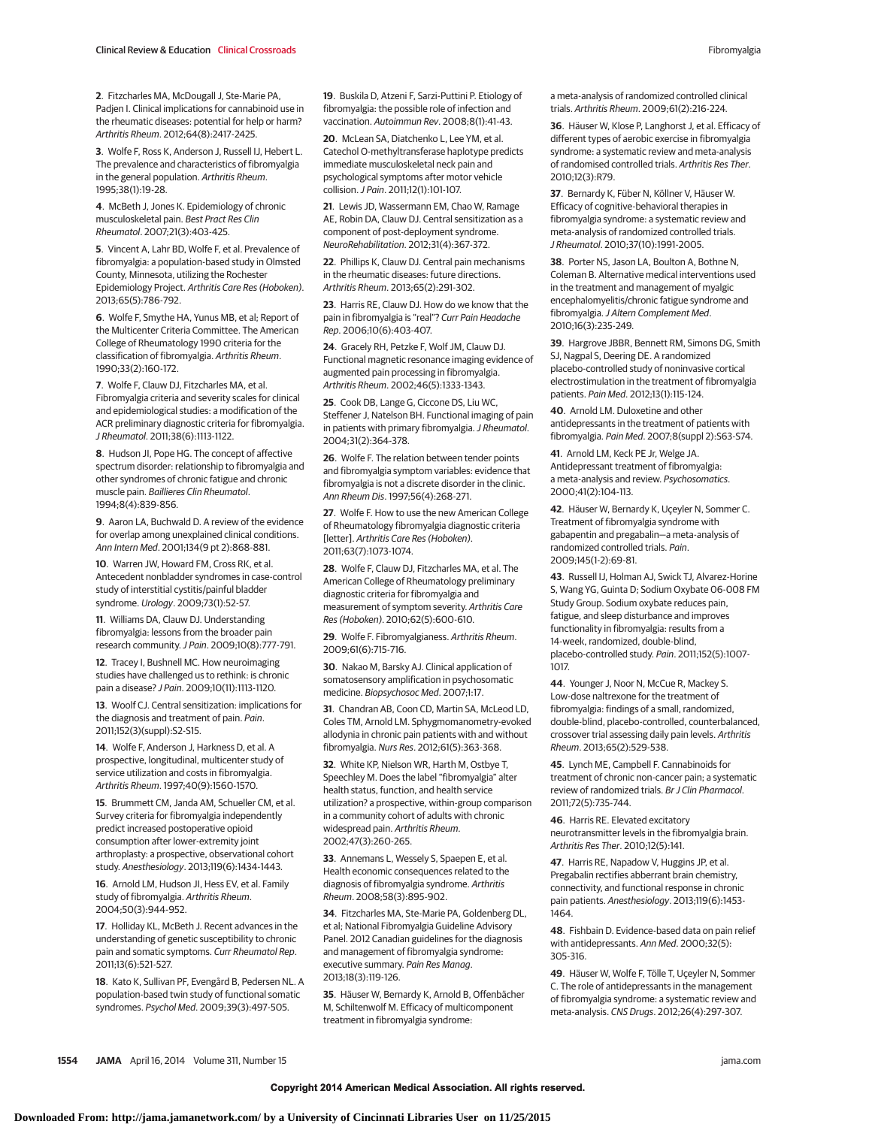**2**. Fitzcharles MA, McDougall J, Ste-Marie PA, Padjen I. Clinical implications for cannabinoid use in the rheumatic diseases: potential for help or harm? Arthritis Rheum. 2012;64(8):2417-2425.

**3**. Wolfe F, Ross K, Anderson J, Russell IJ, Hebert L. The prevalence and characteristics of fibromyalgia in the general population. Arthritis Rheum. 1995;38(1):19-28.

**4**. McBeth J, Jones K. Epidemiology of chronic musculoskeletal pain. Best Pract Res Clin Rheumatol. 2007;21(3):403-425.

**5**. Vincent A, Lahr BD, Wolfe F, et al. Prevalence of fibromyalgia: a population-based study in Olmsted County, Minnesota, utilizing the Rochester Epidemiology Project. Arthritis Care Res (Hoboken). 2013;65(5):786-792.

**6**. Wolfe F, Smythe HA, Yunus MB, et al; Report of the Multicenter Criteria Committee. The American College of Rheumatology 1990 criteria for the classification of fibromyalgia. Arthritis Rheum. 1990;33(2):160-172.

**7**. Wolfe F, Clauw DJ, Fitzcharles MA, et al. Fibromyalgia criteria and severity scales for clinical and epidemiological studies: a modification of the ACR preliminary diagnostic criteria for fibromyalgia. J Rheumatol. 2011;38(6):1113-1122.

**8**. Hudson JI, Pope HG. The concept of affective spectrum disorder: relationship to fibromyalgia and other syndromes of chronic fatigue and chronic muscle pain. Baillieres Clin Rheumatol. 1994;8(4):839-856.

**9**. Aaron LA, Buchwald D. A review of the evidence for overlap among unexplained clinical conditions. Ann Intern Med. 2001;134(9 pt 2):868-881.

**10**. Warren JW, Howard FM, Cross RK, et al. Antecedent nonbladder syndromes in case-control study of interstitial cystitis/painful bladder syndrome. Urology. 2009;73(1):52-57.

**11**. Williams DA, Clauw DJ. Understanding fibromyalgia: lessons from the broader pain research community. J Pain. 2009;10(8):777-791.

**12**. Tracey I, Bushnell MC. How neuroimaging studies have challenged us to rethink: is chronic pain a disease? J Pain. 2009;10(11):1113-1120.

**13**. Woolf CJ. Central sensitization: implications for the diagnosis and treatment of pain. Pain. 2011;152(3)(suppl):S2-S15.

**14**. Wolfe F, Anderson J, Harkness D, et al. A prospective, longitudinal, multicenter study of service utilization and costs in fibromyalgia. Arthritis Rheum. 1997;40(9):1560-1570.

**15**. Brummett CM, Janda AM, Schueller CM, et al. Survey criteria for fibromyalgia independently predict increased postoperative opioid consumption after lower-extremity joint arthroplasty: a prospective, observational cohort study. Anesthesiology. 2013;119(6):1434-1443.

**16**. Arnold LM, Hudson JI, Hess EV, et al. Family study of fibromyalgia. Arthritis Rheum. 2004;50(3):944-952.

**17**. Holliday KL, McBeth J. Recent advances in the understanding of genetic susceptibility to chronic pain and somatic symptoms. Curr Rheumatol Rep. 2011;13(6):521-527.

**18**. Kato K, Sullivan PF, Evengård B, Pedersen NL. A population-based twin study of functional somatic syndromes. Psychol Med. 2009;39(3):497-505.

**19**. Buskila D, Atzeni F, Sarzi-Puttini P. Etiology of fibromyalgia: the possible role of infection and vaccination. Autoimmun Rev. 2008;8(1):41-43.

**20**. McLean SA, Diatchenko L, Lee YM, et al. Catechol O-methyltransferase haplotype predicts immediate musculoskeletal neck pain and psychological symptoms after motor vehicle collision.J Pain. 2011;12(1):101-107.

**21**. Lewis JD, Wassermann EM, Chao W, Ramage AE, Robin DA, Clauw DJ. Central sensitization as a component of post-deployment syndrome. NeuroRehabilitation. 2012;31(4):367-372.

**22**. Phillips K, Clauw DJ. Central pain mechanisms in the rheumatic diseases: future directions. Arthritis Rheum. 2013;65(2):291-302.

**23**. Harris RE, Clauw DJ. How do we know that the pain in fibromyalgia is "real"? Curr Pain Headache Rep. 2006;10(6):403-407.

**24**. Gracely RH, Petzke F, Wolf JM, Clauw DJ. Functional magnetic resonance imaging evidence of augmented pain processing in fibromyalgia. Arthritis Rheum. 2002;46(5):1333-1343.

**25**. Cook DB, Lange G, Ciccone DS, Liu WC, Steffener J, Natelson BH. Functional imaging of pain in patients with primary fibromyalgia. J Rheumatol. 2004;31(2):364-378.

**26**. Wolfe F. The relation between tender points and fibromyalgia symptom variables: evidence that fibromyalgia is not a discrete disorder in the clinic. Ann Rheum Dis. 1997;56(4):268-271.

**27**. Wolfe F. How to use the new American College of Rheumatology fibromyalgia diagnostic criteria [letter]. Arthritis Care Res (Hoboken). 2011;63(7):1073-1074.

**28**. Wolfe F, Clauw DJ, Fitzcharles MA, et al. The American College of Rheumatology preliminary diagnostic criteria for fibromyalgia and measurement of symptom severity. Arthritis Care Res (Hoboken). 2010;62(5):600-610.

**29**. Wolfe F. Fibromyalgianess. Arthritis Rheum. 2009;61(6):715-716.

**30**. Nakao M, Barsky AJ. Clinical application of somatosensory amplification in psychosomatic medicine. Biopsychosoc Med. 2007;1:17.

**31**. Chandran AB, Coon CD, Martin SA, McLeod LD, Coles TM, Arnold LM. Sphygmomanometry-evoked allodynia in chronic pain patients with and without fibromyalgia. Nurs Res. 2012;61(5):363-368.

**32**. White KP, Nielson WR, Harth M, Ostbye T, Speechley M. Does the label "fibromyalgia" alter health status, function, and health service utilization? a prospective, within-group comparison in a community cohort of adults with chronic widespread pain. Arthritis Rheum. 2002;47(3):260-265.

**33**. Annemans L, Wessely S, Spaepen E, et al. Health economic consequences related to the diagnosis of fibromyalgia syndrome. Arthritis Rheum. 2008;58(3):895-902.

**34**. Fitzcharles MA, Ste-Marie PA, Goldenberg DL, et al; National Fibromyalgia Guideline Advisory Panel. 2012 Canadian guidelines for the diagnosis and management of fibromyalgia syndrome: executive summary. Pain Res Manag. 2013;18(3):119-126.

**35**. Häuser W, Bernardy K, Arnold B, Offenbächer M, Schiltenwolf M. Efficacy of multicomponent treatment in fibromyalgia syndrome:

a meta-analysis of randomized controlled clinical trials. Arthritis Rheum. 2009;61(2):216-224.

**36**. Häuser W, Klose P, Langhorst J, et al. Efficacy of different types of aerobic exercise in fibromyalgia syndrome: a systematic review and meta-analysis of randomised controlled trials. Arthritis Res Ther. 2010;12(3):R79.

**37**. Bernardy K, Füber N, Köllner V, Häuser W. Efficacy of cognitive-behavioral therapies in fibromyalgia syndrome: a systematic review and meta-analysis of randomized controlled trials. J Rheumatol. 2010;37(10):1991-2005.

**38**. Porter NS, Jason LA, Boulton A, Bothne N, Coleman B. Alternative medical interventions used in the treatment and management of myalgic encephalomyelitis/chronic fatigue syndrome and fibromyalgia.J Altern Complement Med. 2010;16(3):235-249.

**39**. Hargrove JBBR, Bennett RM, Simons DG, Smith SJ, Nagpal S, Deering DE. A randomized placebo-controlled study of noninvasive cortical electrostimulation in the treatment of fibromyalgia patients. Pain Med. 2012;13(1):115-124.

**40**. Arnold LM. Duloxetine and other antidepressants in the treatment of patients with fibromyalgia. Pain Med. 2007;8(suppl 2):S63-S74.

**41**. Arnold LM, Keck PE Jr, Welge JA. Antidepressant treatment of fibromyalgia: a meta-analysis and review. Psychosomatics. 2000;41(2):104-113.

**42**. Häuser W, Bernardy K, Uçeyler N, Sommer C. Treatment of fibromyalgia syndrome with gabapentin and pregabalin—a meta-analysis of randomized controlled trials. Pain. 2009;145(1-2):69-81.

**43**. Russell IJ, Holman AJ, Swick TJ, Alvarez-Horine S, Wang YG, Guinta D; Sodium Oxybate 06-008 FM Study Group. Sodium oxybate reduces pain, fatigue, and sleep disturbance and improves functionality in fibromyalgia: results from a 14-week, randomized, double-blind, placebo-controlled study. Pain. 2011;152(5):1007- 1017.

**44**. Younger J, Noor N, McCue R, Mackey S. Low-dose naltrexone for the treatment of fibromyalgia: findings of a small, randomized, double-blind, placebo-controlled, counterbalanced, crossover trial assessing daily pain levels. Arthritis Rheum. 2013;65(2):529-538.

**45**. Lynch ME, Campbell F. Cannabinoids for treatment of chronic non-cancer pain; a systematic review of randomized trials. Br J Clin Pharmacol. 2011;72(5):735-744.

**46**. Harris RE. Elevated excitatory neurotransmitter levels in the fibromyalgia brain. Arthritis Res Ther. 2010;12(5):141.

**47**. Harris RE, Napadow V, Huggins JP, et al. Pregabalin rectifies abberrant brain chemistry, connectivity, and functional response in chronic pain patients. Anesthesiology. 2013;119(6):1453- 1464.

**48**. Fishbain D. Evidence-based data on pain relief with antidepressants. Ann Med. 2000;32(5): 305-316.

**49**. Häuser W, Wolfe F, Tölle T, Uçeyler N, Sommer C. The role of antidepressants in the management of fibromyalgia syndrome: a systematic review and meta-analysis. CNS Drugs. 2012;26(4):297-307.